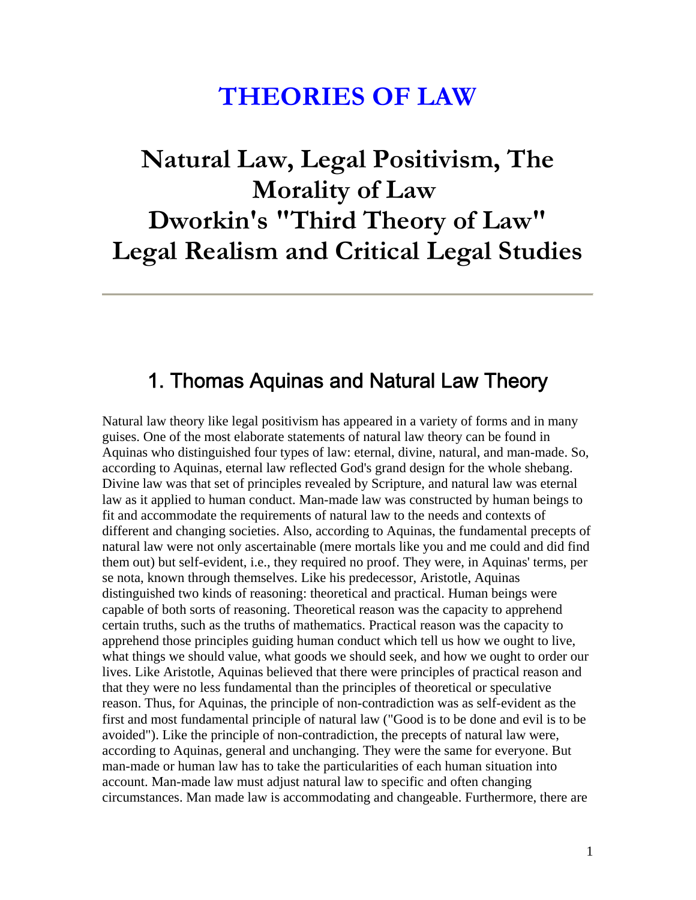## **THEORIES OF LAW**

# **Natural Law, Legal Positivism, The Morality of Law Dworkin's "Third Theory of Law" Legal Realism and Critical Legal Studies**

#### 1. Thomas Aquinas and Natural Law Theory

Natural law theory like legal positivism has appeared in a variety of forms and in many guises. One of the most elaborate statements of natural law theory can be found in Aquinas who distinguished four types of law: eternal, divine, natural, and man-made. So, according to Aquinas, eternal law reflected God's grand design for the whole shebang. Divine law was that set of principles revealed by Scripture, and natural law was eternal law as it applied to human conduct. Man-made law was constructed by human beings to fit and accommodate the requirements of natural law to the needs and contexts of different and changing societies. Also, according to Aquinas, the fundamental precepts of natural law were not only ascertainable (mere mortals like you and me could and did find them out) but self-evident, i.e., they required no proof. They were, in Aquinas' terms, per se nota, known through themselves. Like his predecessor, Aristotle, Aquinas distinguished two kinds of reasoning: theoretical and practical. Human beings were capable of both sorts of reasoning. Theoretical reason was the capacity to apprehend certain truths, such as the truths of mathematics. Practical reason was the capacity to apprehend those principles guiding human conduct which tell us how we ought to live, what things we should value, what goods we should seek, and how we ought to order our lives. Like Aristotle, Aquinas believed that there were principles of practical reason and that they were no less fundamental than the principles of theoretical or speculative reason. Thus, for Aquinas, the principle of non-contradiction was as self-evident as the first and most fundamental principle of natural law ("Good is to be done and evil is to be avoided"). Like the principle of non-contradiction, the precepts of natural law were, according to Aquinas, general and unchanging. They were the same for everyone. But man-made or human law has to take the particularities of each human situation into account. Man-made law must adjust natural law to specific and often changing circumstances. Man made law is accommodating and changeable. Furthermore, there are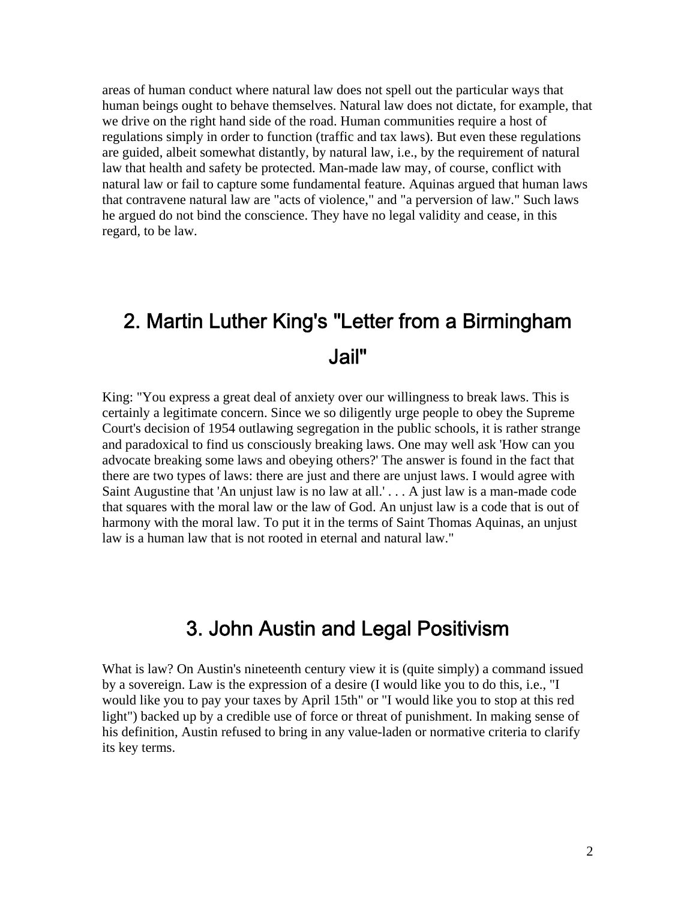areas of human conduct where natural law does not spell out the particular ways that human beings ought to behave themselves. Natural law does not dictate, for example, that we drive on the right hand side of the road. Human communities require a host of regulations simply in order to function (traffic and tax laws). But even these regulations are guided, albeit somewhat distantly, by natural law, i.e., by the requirement of natural law that health and safety be protected. Man-made law may, of course, conflict with natural law or fail to capture some fundamental feature. Aquinas argued that human laws that contravene natural law are "acts of violence," and "a perversion of law." Such laws he argued do not bind the conscience. They have no legal validity and cease, in this regard, to be law.

## 2. Martin Luther King's "Letter from a Birmingham Jail"

King: "You express a great deal of anxiety over our willingness to break laws. This is certainly a legitimate concern. Since we so diligently urge people to obey the Supreme Court's decision of 1954 outlawing segregation in the public schools, it is rather strange and paradoxical to find us consciously breaking laws. One may well ask 'How can you advocate breaking some laws and obeying others?' The answer is found in the fact that there are two types of laws: there are just and there are unjust laws. I would agree with Saint Augustine that 'An unjust law is no law at all.' . . . A just law is a man-made code that squares with the moral law or the law of God. An unjust law is a code that is out of harmony with the moral law. To put it in the terms of Saint Thomas Aquinas, an unjust law is a human law that is not rooted in eternal and natural law."

### 3. John Austin and Legal Positivism

What is law? On Austin's nineteenth century view it is (quite simply) a command issued by a sovereign. Law is the expression of a desire (I would like you to do this, i.e., "I would like you to pay your taxes by April 15th" or "I would like you to stop at this red light") backed up by a credible use of force or threat of punishment. In making sense of his definition, Austin refused to bring in any value-laden or normative criteria to clarify its key terms.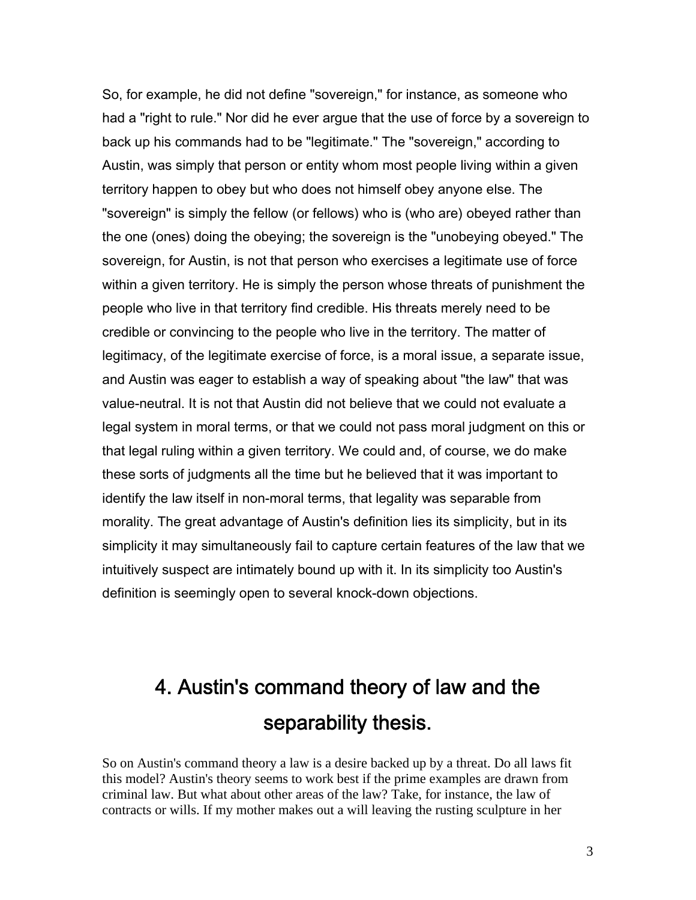So, for example, he did not define "sovereign," for instance, as someone who had a "right to rule." Nor did he ever argue that the use of force by a sovereign to back up his commands had to be "legitimate." The "sovereign," according to Austin, was simply that person or entity whom most people living within a given territory happen to obey but who does not himself obey anyone else. The "sovereign" is simply the fellow (or fellows) who is (who are) obeyed rather than the one (ones) doing the obeying; the sovereign is the "unobeying obeyed." The sovereign, for Austin, is not that person who exercises a legitimate use of force within a given territory. He is simply the person whose threats of punishment the people who live in that territory find credible. His threats merely need to be credible or convincing to the people who live in the territory. The matter of legitimacy, of the legitimate exercise of force, is a moral issue, a separate issue, and Austin was eager to establish a way of speaking about "the law" that was value-neutral. It is not that Austin did not believe that we could not evaluate a legal system in moral terms, or that we could not pass moral judgment on this or that legal ruling within a given territory. We could and, of course, we do make these sorts of judgments all the time but he believed that it was important to identify the law itself in non-moral terms, that legality was separable from morality. The great advantage of Austin's definition lies its simplicity, but in its simplicity it may simultaneously fail to capture certain features of the law that we intuitively suspect are intimately bound up with it. In its simplicity too Austin's definition is seemingly open to several knock-down objections.

## 4. Austin's command theory of law and the separability thesis.

So on Austin's command theory a law is a desire backed up by a threat. Do all laws fit this model? Austin's theory seems to work best if the prime examples are drawn from criminal law. But what about other areas of the law? Take, for instance, the law of contracts or wills. If my mother makes out a will leaving the rusting sculpture in her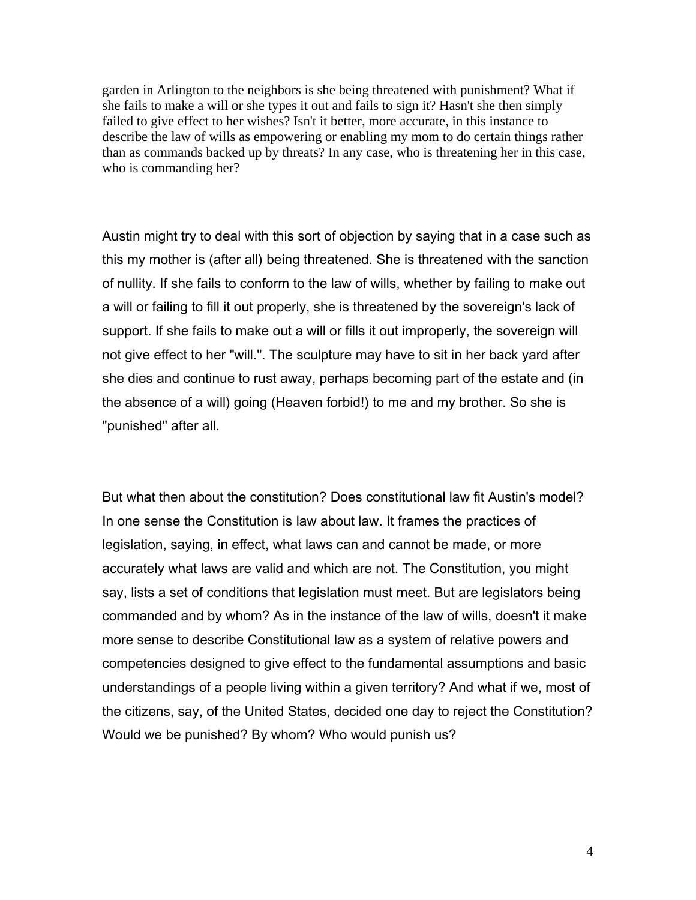garden in Arlington to the neighbors is she being threatened with punishment? What if she fails to make a will or she types it out and fails to sign it? Hasn't she then simply failed to give effect to her wishes? Isn't it better, more accurate, in this instance to describe the law of wills as empowering or enabling my mom to do certain things rather than as commands backed up by threats? In any case, who is threatening her in this case, who is commanding her?

Austin might try to deal with this sort of objection by saying that in a case such as this my mother is (after all) being threatened. She is threatened with the sanction of nullity. If she fails to conform to the law of wills, whether by failing to make out a will or failing to fill it out properly, she is threatened by the sovereign's lack of support. If she fails to make out a will or fills it out improperly, the sovereign will not give effect to her "will.". The sculpture may have to sit in her back yard after she dies and continue to rust away, perhaps becoming part of the estate and (in the absence of a will) going (Heaven forbid!) to me and my brother. So she is "punished" after all.

But what then about the constitution? Does constitutional law fit Austin's model? In one sense the Constitution is law about law. It frames the practices of legislation, saying, in effect, what laws can and cannot be made, or more accurately what laws are valid and which are not. The Constitution, you might say, lists a set of conditions that legislation must meet. But are legislators being commanded and by whom? As in the instance of the law of wills, doesn't it make more sense to describe Constitutional law as a system of relative powers and competencies designed to give effect to the fundamental assumptions and basic understandings of a people living within a given territory? And what if we, most of the citizens, say, of the United States, decided one day to reject the Constitution? Would we be punished? By whom? Who would punish us?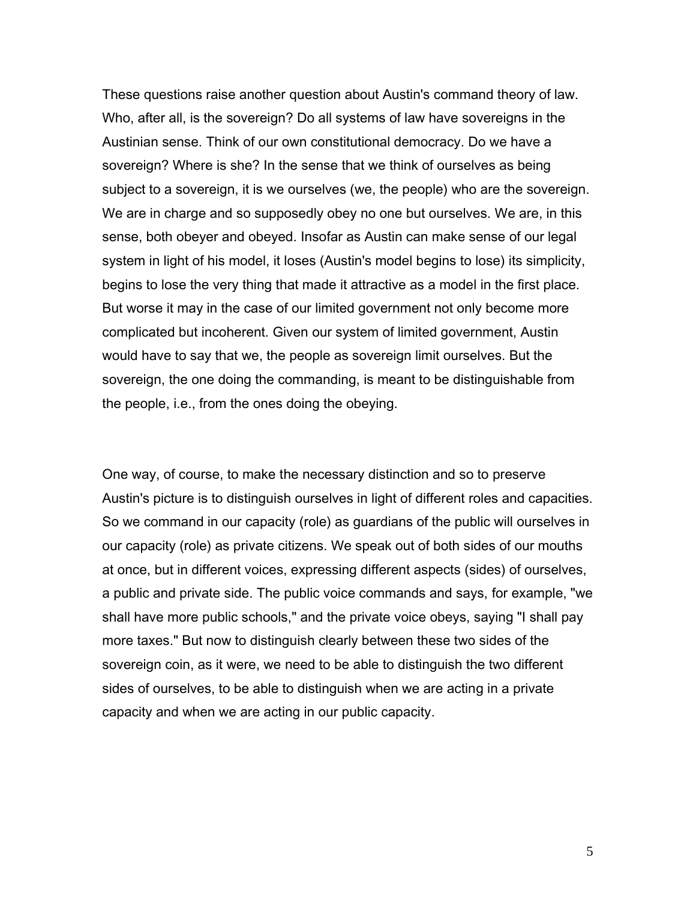These questions raise another question about Austin's command theory of law. Who, after all, is the sovereign? Do all systems of law have sovereigns in the Austinian sense. Think of our own constitutional democracy. Do we have a sovereign? Where is she? In the sense that we think of ourselves as being subject to a sovereign, it is we ourselves (we, the people) who are the sovereign. We are in charge and so supposedly obey no one but ourselves. We are, in this sense, both obeyer and obeyed. Insofar as Austin can make sense of our legal system in light of his model, it loses (Austin's model begins to lose) its simplicity, begins to lose the very thing that made it attractive as a model in the first place. But worse it may in the case of our limited government not only become more complicated but incoherent. Given our system of limited government, Austin would have to say that we, the people as sovereign limit ourselves. But the sovereign, the one doing the commanding, is meant to be distinguishable from the people, i.e., from the ones doing the obeying.

One way, of course, to make the necessary distinction and so to preserve Austin's picture is to distinguish ourselves in light of different roles and capacities. So we command in our capacity (role) as guardians of the public will ourselves in our capacity (role) as private citizens. We speak out of both sides of our mouths at once, but in different voices, expressing different aspects (sides) of ourselves, a public and private side. The public voice commands and says, for example, "we shall have more public schools," and the private voice obeys, saying "I shall pay more taxes." But now to distinguish clearly between these two sides of the sovereign coin, as it were, we need to be able to distinguish the two different sides of ourselves, to be able to distinguish when we are acting in a private capacity and when we are acting in our public capacity.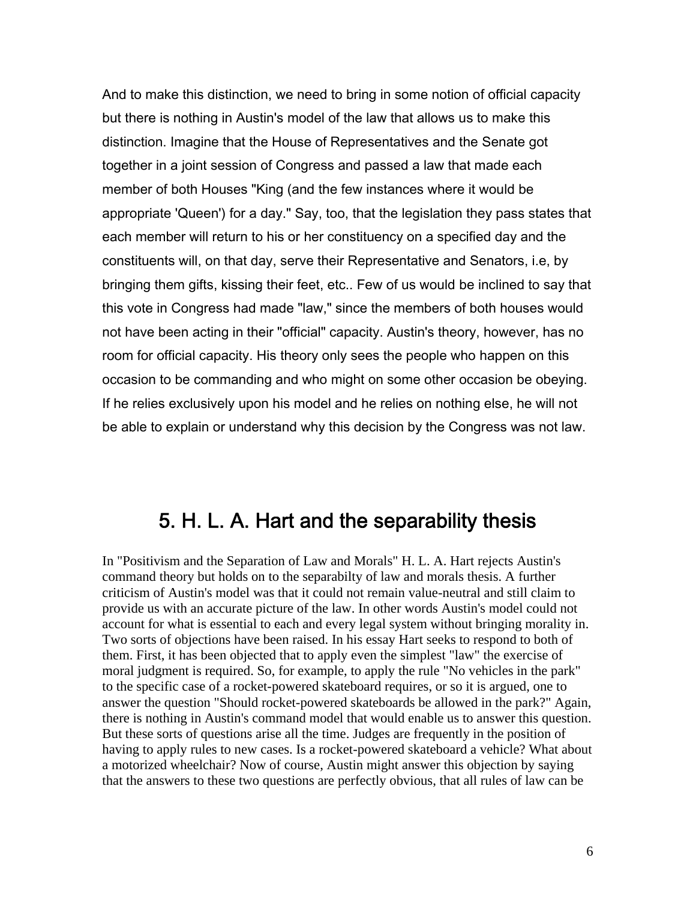And to make this distinction, we need to bring in some notion of official capacity but there is nothing in Austin's model of the law that allows us to make this distinction. Imagine that the House of Representatives and the Senate got together in a joint session of Congress and passed a law that made each member of both Houses "King (and the few instances where it would be appropriate 'Queen') for a day." Say, too, that the legislation they pass states that each member will return to his or her constituency on a specified day and the constituents will, on that day, serve their Representative and Senators, i.e, by bringing them gifts, kissing their feet, etc.. Few of us would be inclined to say that this vote in Congress had made "law," since the members of both houses would not have been acting in their "official" capacity. Austin's theory, however, has no room for official capacity. His theory only sees the people who happen on this occasion to be commanding and who might on some other occasion be obeying. If he relies exclusively upon his model and he relies on nothing else, he will not be able to explain or understand why this decision by the Congress was not law.

### 5. H. L. A. Hart and the separability thesis

In "Positivism and the Separation of Law and Morals" H. L. A. Hart rejects Austin's command theory but holds on to the separabilty of law and morals thesis. A further criticism of Austin's model was that it could not remain value-neutral and still claim to provide us with an accurate picture of the law. In other words Austin's model could not account for what is essential to each and every legal system without bringing morality in. Two sorts of objections have been raised. In his essay Hart seeks to respond to both of them. First, it has been objected that to apply even the simplest "law" the exercise of moral judgment is required. So, for example, to apply the rule "No vehicles in the park" to the specific case of a rocket-powered skateboard requires, or so it is argued, one to answer the question "Should rocket-powered skateboards be allowed in the park?" Again, there is nothing in Austin's command model that would enable us to answer this question. But these sorts of questions arise all the time. Judges are frequently in the position of having to apply rules to new cases. Is a rocket-powered skateboard a vehicle? What about a motorized wheelchair? Now of course, Austin might answer this objection by saying that the answers to these two questions are perfectly obvious, that all rules of law can be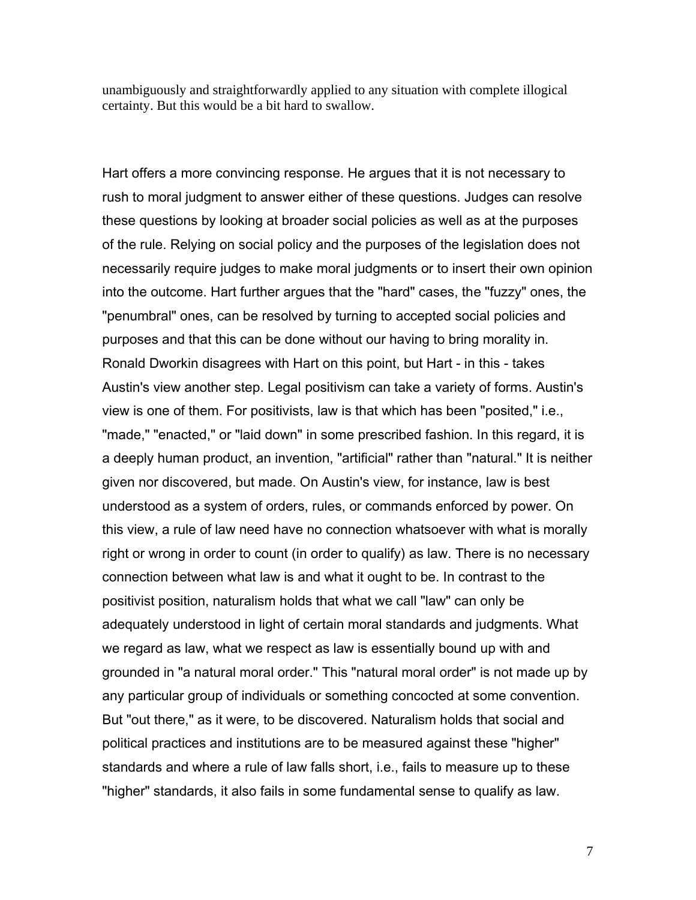unambiguously and straightforwardly applied to any situation with complete illogical certainty. But this would be a bit hard to swallow.

Hart offers a more convincing response. He argues that it is not necessary to rush to moral judgment to answer either of these questions. Judges can resolve these questions by looking at broader social policies as well as at the purposes of the rule. Relying on social policy and the purposes of the legislation does not necessarily require judges to make moral judgments or to insert their own opinion into the outcome. Hart further argues that the "hard" cases, the "fuzzy" ones, the "penumbral" ones, can be resolved by turning to accepted social policies and purposes and that this can be done without our having to bring morality in. Ronald Dworkin disagrees with Hart on this point, but Hart - in this - takes Austin's view another step. Legal positivism can take a variety of forms. Austin's view is one of them. For positivists, law is that which has been "posited," i.e., "made," "enacted," or "laid down" in some prescribed fashion. In this regard, it is a deeply human product, an invention, "artificial" rather than "natural." It is neither given nor discovered, but made. On Austin's view, for instance, law is best understood as a system of orders, rules, or commands enforced by power. On this view, a rule of law need have no connection whatsoever with what is morally right or wrong in order to count (in order to qualify) as law. There is no necessary connection between what law is and what it ought to be. In contrast to the positivist position, naturalism holds that what we call "law" can only be adequately understood in light of certain moral standards and judgments. What we regard as law, what we respect as law is essentially bound up with and grounded in "a natural moral order." This "natural moral order" is not made up by any particular group of individuals or something concocted at some convention. But "out there," as it were, to be discovered. Naturalism holds that social and political practices and institutions are to be measured against these "higher" standards and where a rule of law falls short, i.e., fails to measure up to these "higher" standards, it also fails in some fundamental sense to qualify as law.

7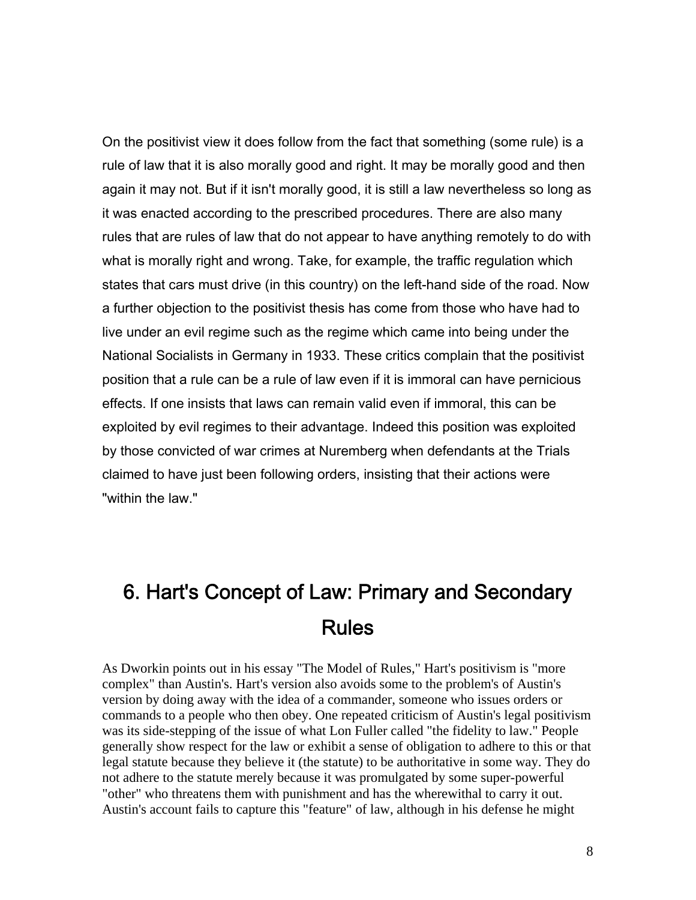On the positivist view it does follow from the fact that something (some rule) is a rule of law that it is also morally good and right. It may be morally good and then again it may not. But if it isn't morally good, it is still a law nevertheless so long as it was enacted according to the prescribed procedures. There are also many rules that are rules of law that do not appear to have anything remotely to do with what is morally right and wrong. Take, for example, the traffic regulation which states that cars must drive (in this country) on the left-hand side of the road. Now a further objection to the positivist thesis has come from those who have had to live under an evil regime such as the regime which came into being under the National Socialists in Germany in 1933. These critics complain that the positivist position that a rule can be a rule of law even if it is immoral can have pernicious effects. If one insists that laws can remain valid even if immoral, this can be exploited by evil regimes to their advantage. Indeed this position was exploited by those convicted of war crimes at Nuremberg when defendants at the Trials claimed to have just been following orders, insisting that their actions were "within the law."

## 6. Hart's Concept of Law: Primary and Secondary Rules

As Dworkin points out in his essay "The Model of Rules," Hart's positivism is "more complex" than Austin's. Hart's version also avoids some to the problem's of Austin's version by doing away with the idea of a commander, someone who issues orders or commands to a people who then obey. One repeated criticism of Austin's legal positivism was its side-stepping of the issue of what Lon Fuller called "the fidelity to law." People generally show respect for the law or exhibit a sense of obligation to adhere to this or that legal statute because they believe it (the statute) to be authoritative in some way. They do not adhere to the statute merely because it was promulgated by some super-powerful "other" who threatens them with punishment and has the wherewithal to carry it out. Austin's account fails to capture this "feature" of law, although in his defense he might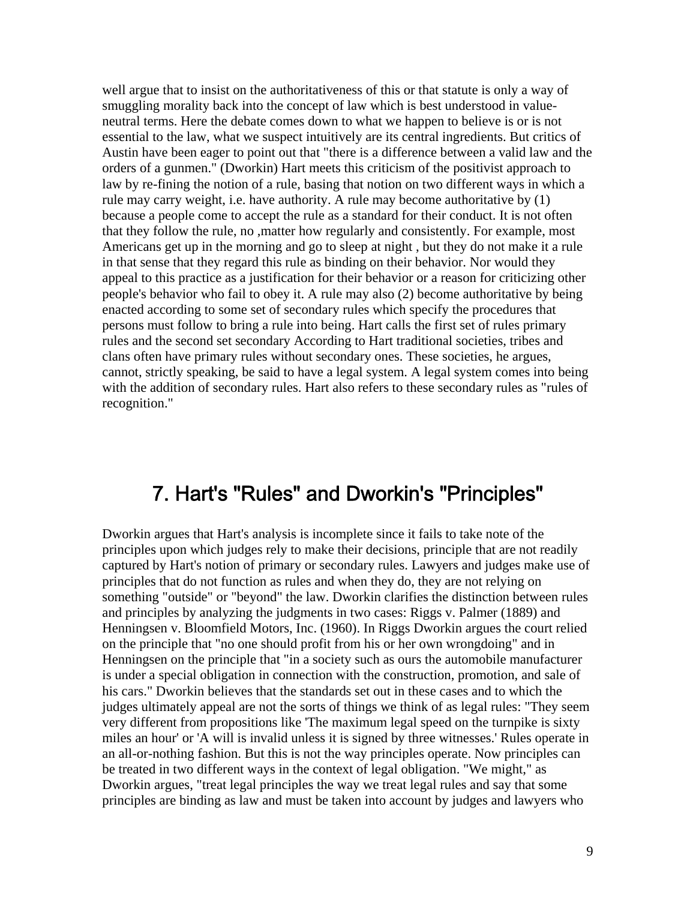well argue that to insist on the authoritativeness of this or that statute is only a way of smuggling morality back into the concept of law which is best understood in valueneutral terms. Here the debate comes down to what we happen to believe is or is not essential to the law, what we suspect intuitively are its central ingredients. But critics of Austin have been eager to point out that "there is a difference between a valid law and the orders of a gunmen." (Dworkin) Hart meets this criticism of the positivist approach to law by re-fining the notion of a rule, basing that notion on two different ways in which a rule may carry weight, i.e. have authority. A rule may become authoritative by (1) because a people come to accept the rule as a standard for their conduct. It is not often that they follow the rule, no ,matter how regularly and consistently. For example, most Americans get up in the morning and go to sleep at night , but they do not make it a rule in that sense that they regard this rule as binding on their behavior. Nor would they appeal to this practice as a justification for their behavior or a reason for criticizing other people's behavior who fail to obey it. A rule may also (2) become authoritative by being enacted according to some set of secondary rules which specify the procedures that persons must follow to bring a rule into being. Hart calls the first set of rules primary rules and the second set secondary According to Hart traditional societies, tribes and clans often have primary rules without secondary ones. These societies, he argues, cannot, strictly speaking, be said to have a legal system. A legal system comes into being with the addition of secondary rules. Hart also refers to these secondary rules as "rules of recognition."

#### 7. Hart's "Rules" and Dworkin's "Principles"

Dworkin argues that Hart's analysis is incomplete since it fails to take note of the principles upon which judges rely to make their decisions, principle that are not readily captured by Hart's notion of primary or secondary rules. Lawyers and judges make use of principles that do not function as rules and when they do, they are not relying on something "outside" or "beyond" the law. Dworkin clarifies the distinction between rules and principles by analyzing the judgments in two cases: Riggs v. Palmer (1889) and Henningsen v. Bloomfield Motors, Inc. (1960). In Riggs Dworkin argues the court relied on the principle that "no one should profit from his or her own wrongdoing" and in Henningsen on the principle that "in a society such as ours the automobile manufacturer is under a special obligation in connection with the construction, promotion, and sale of his cars." Dworkin believes that the standards set out in these cases and to which the judges ultimately appeal are not the sorts of things we think of as legal rules: "They seem very different from propositions like 'The maximum legal speed on the turnpike is sixty miles an hour' or 'A will is invalid unless it is signed by three witnesses.' Rules operate in an all-or-nothing fashion. But this is not the way principles operate. Now principles can be treated in two different ways in the context of legal obligation. "We might," as Dworkin argues, "treat legal principles the way we treat legal rules and say that some principles are binding as law and must be taken into account by judges and lawyers who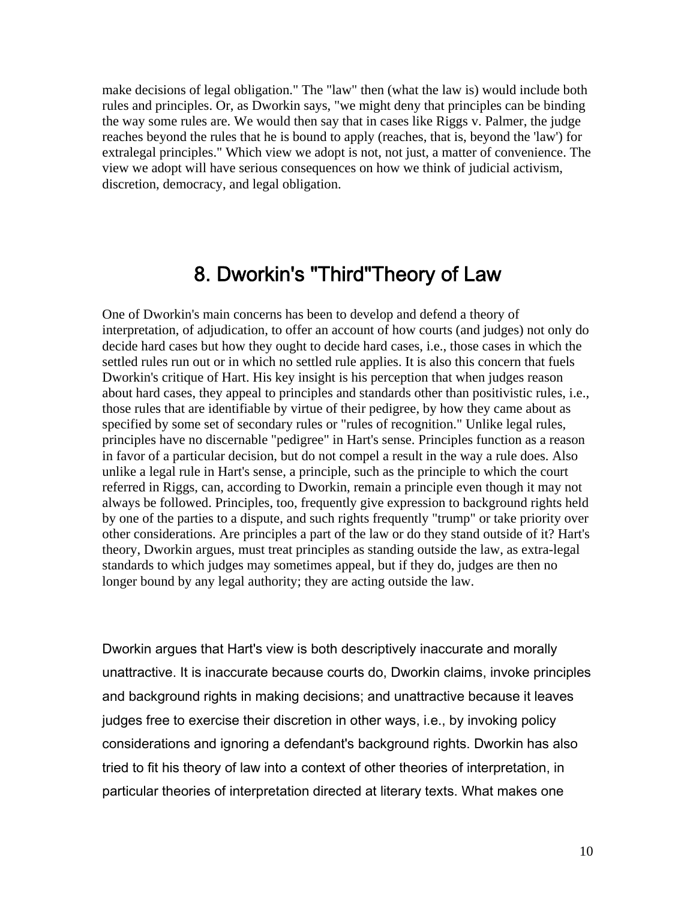make decisions of legal obligation." The "law" then (what the law is) would include both rules and principles. Or, as Dworkin says, "we might deny that principles can be binding the way some rules are. We would then say that in cases like Riggs v. Palmer, the judge reaches beyond the rules that he is bound to apply (reaches, that is, beyond the 'law') for extralegal principles." Which view we adopt is not, not just, a matter of convenience. The view we adopt will have serious consequences on how we think of judicial activism, discretion, democracy, and legal obligation.

### 8. Dworkin's "Third"Theory of Law

One of Dworkin's main concerns has been to develop and defend a theory of interpretation, of adjudication, to offer an account of how courts (and judges) not only do decide hard cases but how they ought to decide hard cases, i.e., those cases in which the settled rules run out or in which no settled rule applies. It is also this concern that fuels Dworkin's critique of Hart. His key insight is his perception that when judges reason about hard cases, they appeal to principles and standards other than positivistic rules, i.e., those rules that are identifiable by virtue of their pedigree, by how they came about as specified by some set of secondary rules or "rules of recognition." Unlike legal rules, principles have no discernable "pedigree" in Hart's sense. Principles function as a reason in favor of a particular decision, but do not compel a result in the way a rule does. Also unlike a legal rule in Hart's sense, a principle, such as the principle to which the court referred in Riggs, can, according to Dworkin, remain a principle even though it may not always be followed. Principles, too, frequently give expression to background rights held by one of the parties to a dispute, and such rights frequently "trump" or take priority over other considerations. Are principles a part of the law or do they stand outside of it? Hart's theory, Dworkin argues, must treat principles as standing outside the law, as extra-legal standards to which judges may sometimes appeal, but if they do, judges are then no longer bound by any legal authority; they are acting outside the law.

Dworkin argues that Hart's view is both descriptively inaccurate and morally unattractive. It is inaccurate because courts do, Dworkin claims, invoke principles and background rights in making decisions; and unattractive because it leaves judges free to exercise their discretion in other ways, i.e., by invoking policy considerations and ignoring a defendant's background rights. Dworkin has also tried to fit his theory of law into a context of other theories of interpretation, in particular theories of interpretation directed at literary texts. What makes one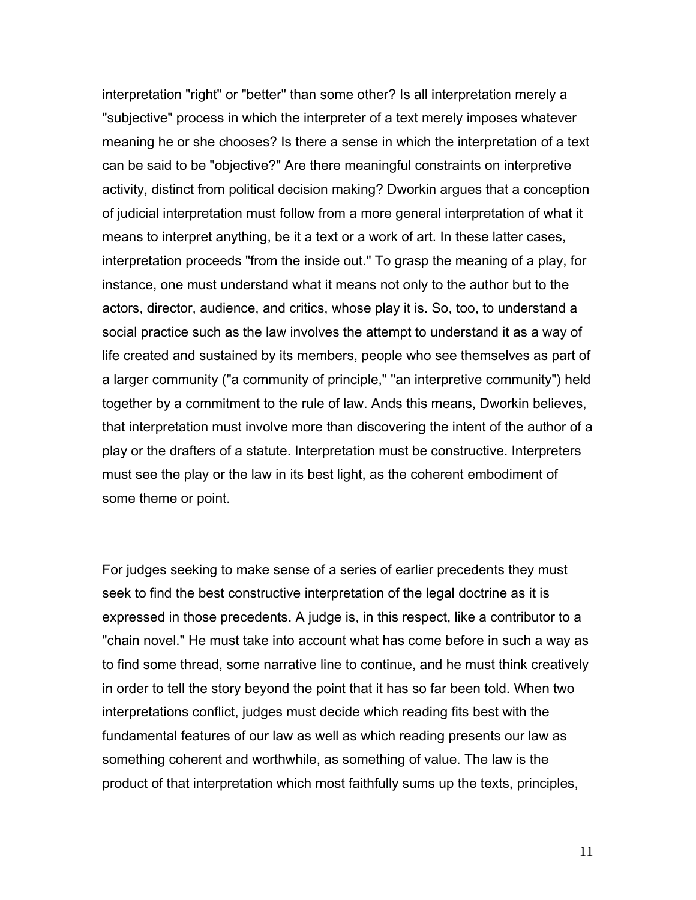interpretation "right" or "better" than some other? Is all interpretation merely a "subjective" process in which the interpreter of a text merely imposes whatever meaning he or she chooses? Is there a sense in which the interpretation of a text can be said to be "objective?" Are there meaningful constraints on interpretive activity, distinct from political decision making? Dworkin argues that a conception of judicial interpretation must follow from a more general interpretation of what it means to interpret anything, be it a text or a work of art. In these latter cases, interpretation proceeds "from the inside out." To grasp the meaning of a play, for instance, one must understand what it means not only to the author but to the actors, director, audience, and critics, whose play it is. So, too, to understand a social practice such as the law involves the attempt to understand it as a way of life created and sustained by its members, people who see themselves as part of a larger community ("a community of principle," "an interpretive community") held together by a commitment to the rule of law. Ands this means, Dworkin believes, that interpretation must involve more than discovering the intent of the author of a play or the drafters of a statute. Interpretation must be constructive. Interpreters must see the play or the law in its best light, as the coherent embodiment of some theme or point.

For judges seeking to make sense of a series of earlier precedents they must seek to find the best constructive interpretation of the legal doctrine as it is expressed in those precedents. A judge is, in this respect, like a contributor to a "chain novel." He must take into account what has come before in such a way as to find some thread, some narrative line to continue, and he must think creatively in order to tell the story beyond the point that it has so far been told. When two interpretations conflict, judges must decide which reading fits best with the fundamental features of our law as well as which reading presents our law as something coherent and worthwhile, as something of value. The law is the product of that interpretation which most faithfully sums up the texts, principles,

11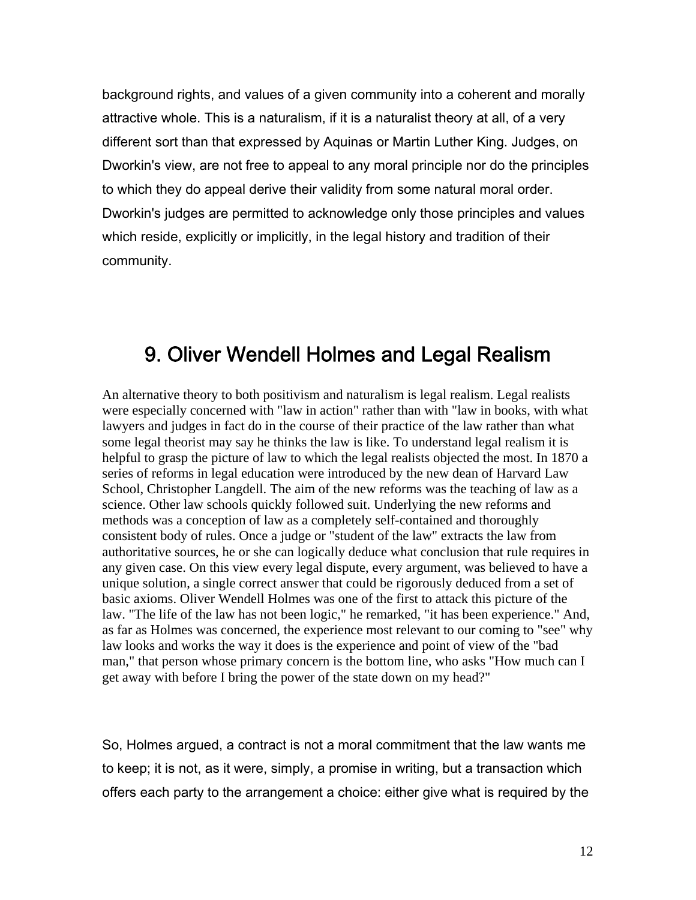background rights, and values of a given community into a coherent and morally attractive whole. This is a naturalism, if it is a naturalist theory at all, of a very different sort than that expressed by Aquinas or Martin Luther King. Judges, on Dworkin's view, are not free to appeal to any moral principle nor do the principles to which they do appeal derive their validity from some natural moral order. Dworkin's judges are permitted to acknowledge only those principles and values which reside, explicitly or implicitly, in the legal history and tradition of their community.

### 9. Oliver Wendell Holmes and Legal Realism

An alternative theory to both positivism and naturalism is legal realism. Legal realists were especially concerned with "law in action" rather than with "law in books, with what lawyers and judges in fact do in the course of their practice of the law rather than what some legal theorist may say he thinks the law is like. To understand legal realism it is helpful to grasp the picture of law to which the legal realists objected the most. In 1870 a series of reforms in legal education were introduced by the new dean of Harvard Law School, Christopher Langdell. The aim of the new reforms was the teaching of law as a science. Other law schools quickly followed suit. Underlying the new reforms and methods was a conception of law as a completely self-contained and thoroughly consistent body of rules. Once a judge or "student of the law" extracts the law from authoritative sources, he or she can logically deduce what conclusion that rule requires in any given case. On this view every legal dispute, every argument, was believed to have a unique solution, a single correct answer that could be rigorously deduced from a set of basic axioms. Oliver Wendell Holmes was one of the first to attack this picture of the law. "The life of the law has not been logic," he remarked, "it has been experience." And, as far as Holmes was concerned, the experience most relevant to our coming to "see" why law looks and works the way it does is the experience and point of view of the "bad man," that person whose primary concern is the bottom line, who asks "How much can I get away with before I bring the power of the state down on my head?"

So, Holmes argued, a contract is not a moral commitment that the law wants me to keep; it is not, as it were, simply, a promise in writing, but a transaction which offers each party to the arrangement a choice: either give what is required by the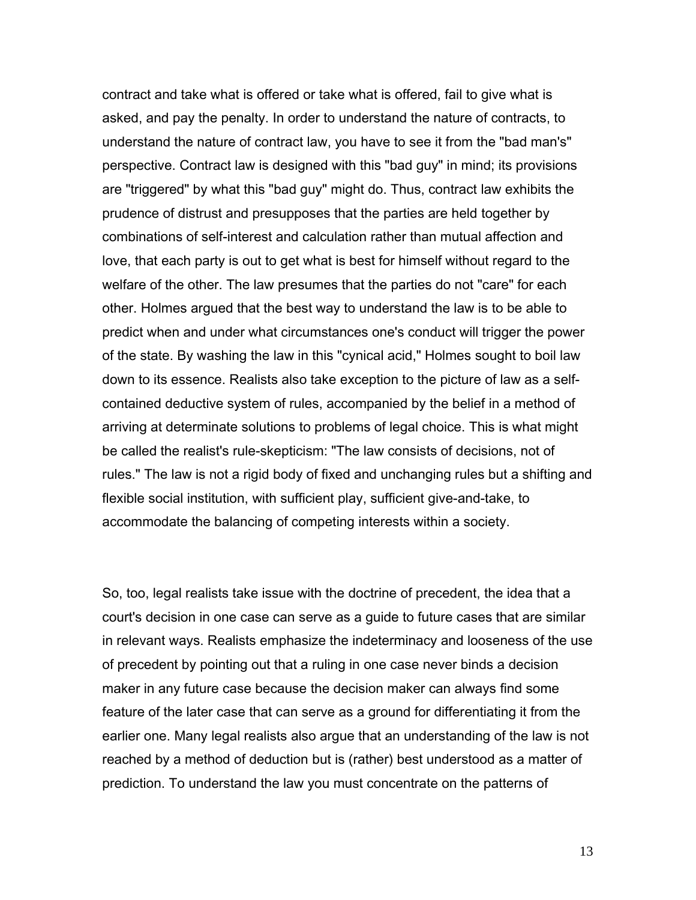contract and take what is offered or take what is offered, fail to give what is asked, and pay the penalty. In order to understand the nature of contracts, to understand the nature of contract law, you have to see it from the "bad man's" perspective. Contract law is designed with this "bad guy" in mind; its provisions are "triggered" by what this "bad guy" might do. Thus, contract law exhibits the prudence of distrust and presupposes that the parties are held together by combinations of self-interest and calculation rather than mutual affection and love, that each party is out to get what is best for himself without regard to the welfare of the other. The law presumes that the parties do not "care" for each other. Holmes argued that the best way to understand the law is to be able to predict when and under what circumstances one's conduct will trigger the power of the state. By washing the law in this "cynical acid," Holmes sought to boil law down to its essence. Realists also take exception to the picture of law as a selfcontained deductive system of rules, accompanied by the belief in a method of arriving at determinate solutions to problems of legal choice. This is what might be called the realist's rule-skepticism: "The law consists of decisions, not of rules." The law is not a rigid body of fixed and unchanging rules but a shifting and flexible social institution, with sufficient play, sufficient give-and-take, to accommodate the balancing of competing interests within a society.

So, too, legal realists take issue with the doctrine of precedent, the idea that a court's decision in one case can serve as a guide to future cases that are similar in relevant ways. Realists emphasize the indeterminacy and looseness of the use of precedent by pointing out that a ruling in one case never binds a decision maker in any future case because the decision maker can always find some feature of the later case that can serve as a ground for differentiating it from the earlier one. Many legal realists also argue that an understanding of the law is not reached by a method of deduction but is (rather) best understood as a matter of prediction. To understand the law you must concentrate on the patterns of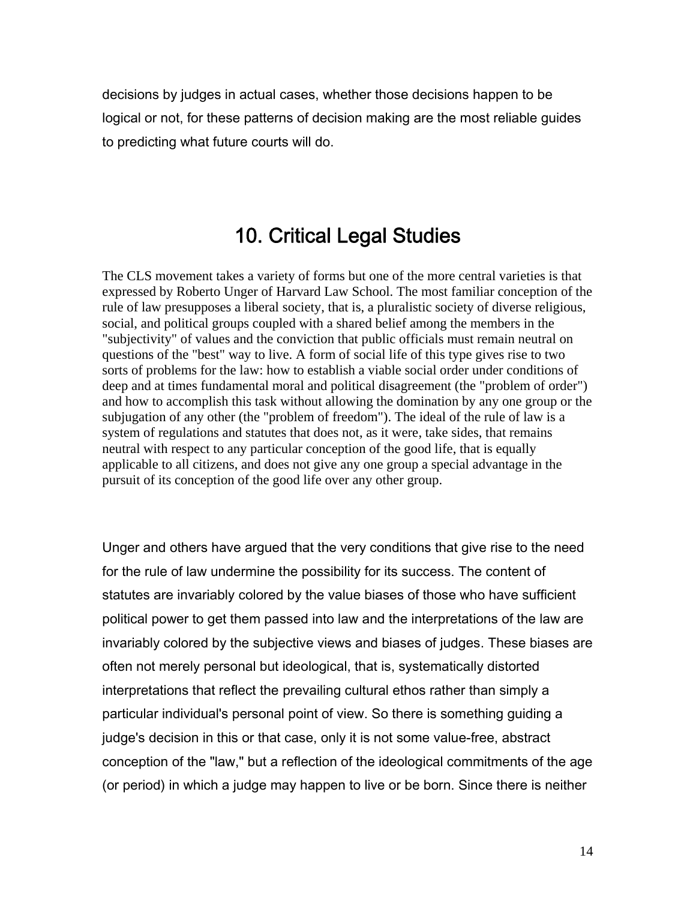decisions by judges in actual cases, whether those decisions happen to be logical or not, for these patterns of decision making are the most reliable guides to predicting what future courts will do.

#### 10. Critical Legal Studies

The CLS movement takes a variety of forms but one of the more central varieties is that expressed by Roberto Unger of Harvard Law School. The most familiar conception of the rule of law presupposes a liberal society, that is, a pluralistic society of diverse religious, social, and political groups coupled with a shared belief among the members in the "subjectivity" of values and the conviction that public officials must remain neutral on questions of the "best" way to live. A form of social life of this type gives rise to two sorts of problems for the law: how to establish a viable social order under conditions of deep and at times fundamental moral and political disagreement (the "problem of order") and how to accomplish this task without allowing the domination by any one group or the subjugation of any other (the "problem of freedom"). The ideal of the rule of law is a system of regulations and statutes that does not, as it were, take sides, that remains neutral with respect to any particular conception of the good life, that is equally applicable to all citizens, and does not give any one group a special advantage in the pursuit of its conception of the good life over any other group.

Unger and others have argued that the very conditions that give rise to the need for the rule of law undermine the possibility for its success. The content of statutes are invariably colored by the value biases of those who have sufficient political power to get them passed into law and the interpretations of the law are invariably colored by the subjective views and biases of judges. These biases are often not merely personal but ideological, that is, systematically distorted interpretations that reflect the prevailing cultural ethos rather than simply a particular individual's personal point of view. So there is something guiding a judge's decision in this or that case, only it is not some value-free, abstract conception of the "law," but a reflection of the ideological commitments of the age (or period) in which a judge may happen to live or be born. Since there is neither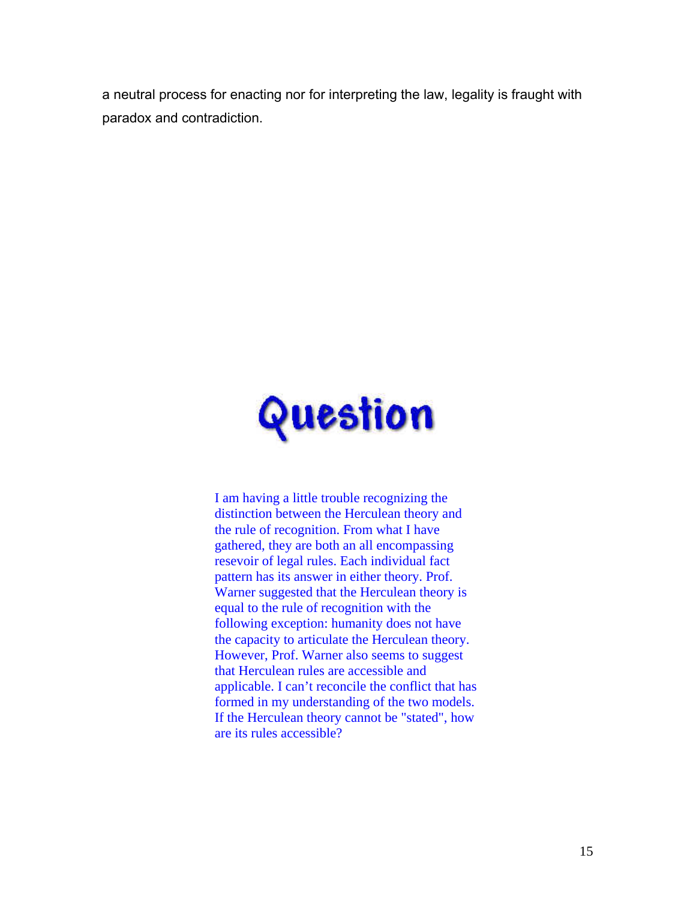a neutral process for enacting nor for interpreting the law, legality is fraught with paradox and contradiction.



I am having a little trouble recognizing the distinction between the Herculean theory and the rule of recognition. From what I have gathered, they are both an all encompassing resevoir of legal rules. Each individual fact pattern has its answer in either theory. Prof. Warner suggested that the Herculean theory is equal to the rule of recognition with the following exception: humanity does not have the capacity to articulate the Herculean theory. However, Prof. Warner also seems to suggest that Herculean rules are accessible and applicable. I can't reconcile the conflict that has formed in my understanding of the two models. If the Herculean theory cannot be "stated", how are its rules accessible?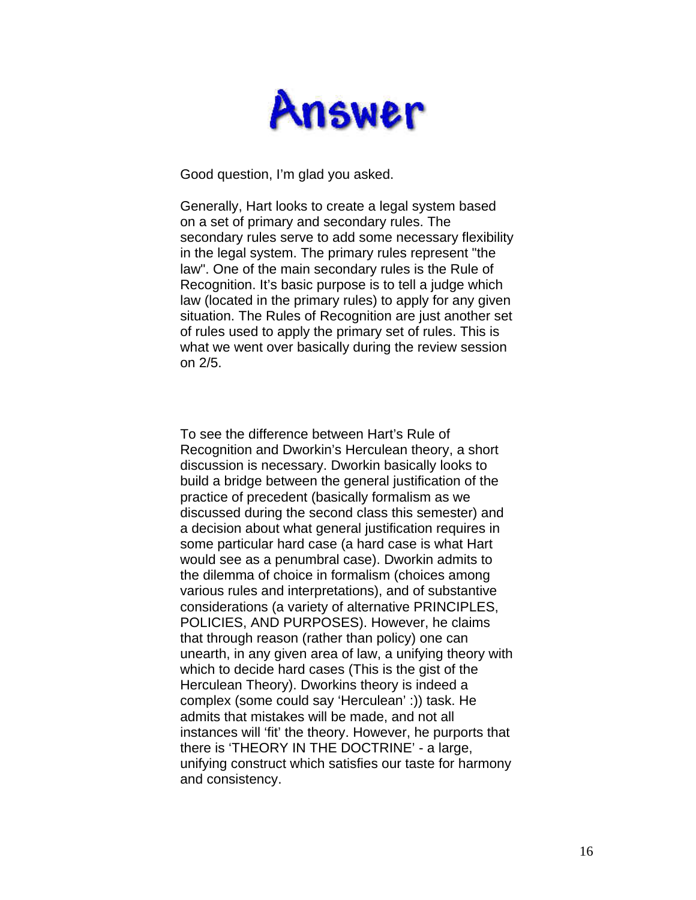

Good question, I'm glad you asked.

Generally, Hart looks to create a legal system based on a set of primary and secondary rules. The secondary rules serve to add some necessary flexibility in the legal system. The primary rules represent "the law". One of the main secondary rules is the Rule of Recognition. It's basic purpose is to tell a judge which law (located in the primary rules) to apply for any given situation. The Rules of Recognition are just another set of rules used to apply the primary set of rules. This is what we went over basically during the review session on 2/5.

To see the difference between Hart's Rule of Recognition and Dworkin's Herculean theory, a short discussion is necessary. Dworkin basically looks to build a bridge between the general justification of the practice of precedent (basically formalism as we discussed during the second class this semester) and a decision about what general justification requires in some particular hard case (a hard case is what Hart would see as a penumbral case). Dworkin admits to the dilemma of choice in formalism (choices among various rules and interpretations), and of substantive considerations (a variety of alternative PRINCIPLES, POLICIES, AND PURPOSES). However, he claims that through reason (rather than policy) one can unearth, in any given area of law, a unifying theory with which to decide hard cases (This is the gist of the Herculean Theory). Dworkins theory is indeed a complex (some could say 'Herculean' :)) task. He admits that mistakes will be made, and not all instances will 'fit' the theory. However, he purports that there is 'THEORY IN THE DOCTRINE' - a large, unifying construct which satisfies our taste for harmony and consistency.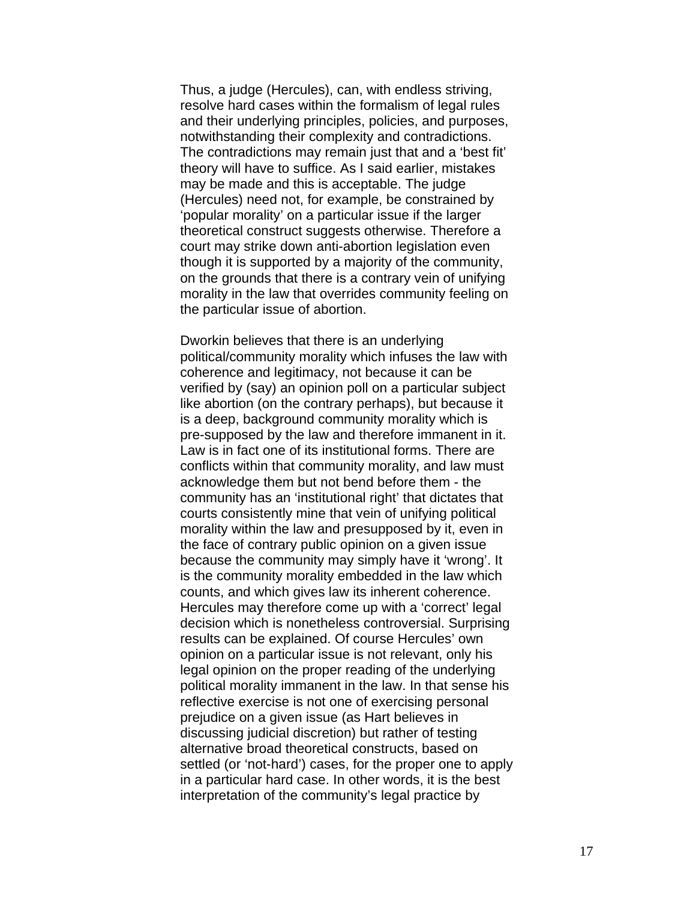Thus, a judge (Hercules), can, with endless striving, resolve hard cases within the formalism of legal rules and their underlying principles, policies, and purposes, notwithstanding their complexity and contradictions. The contradictions may remain just that and a 'best fit' theory will have to suffice. As I said earlier, mistakes may be made and this is acceptable. The judge (Hercules) need not, for example, be constrained by 'popular morality' on a particular issue if the larger theoretical construct suggests otherwise. Therefore a court may strike down anti-abortion legislation even though it is supported by a majority of the community, on the grounds that there is a contrary vein of unifying morality in the law that overrides community feeling on the particular issue of abortion.

Dworkin believes that there is an underlying political/community morality which infuses the law with coherence and legitimacy, not because it can be verified by (say) an opinion poll on a particular subject like abortion (on the contrary perhaps), but because it is a deep, background community morality which is pre-supposed by the law and therefore immanent in it. Law is in fact one of its institutional forms. There are conflicts within that community morality, and law must acknowledge them but not bend before them - the community has an 'institutional right' that dictates that courts consistently mine that vein of unifying political morality within the law and presupposed by it, even in the face of contrary public opinion on a given issue because the community may simply have it 'wrong'. It is the community morality embedded in the law which counts, and which gives law its inherent coherence. Hercules may therefore come up with a 'correct' legal decision which is nonetheless controversial. Surprising results can be explained. Of course Hercules' own opinion on a particular issue is not relevant, only his legal opinion on the proper reading of the underlying political morality immanent in the law. In that sense his reflective exercise is not one of exercising personal prejudice on a given issue (as Hart believes in discussing judicial discretion) but rather of testing alternative broad theoretical constructs, based on settled (or 'not-hard') cases, for the proper one to apply in a particular hard case. In other words, it is the best interpretation of the community's legal practice by